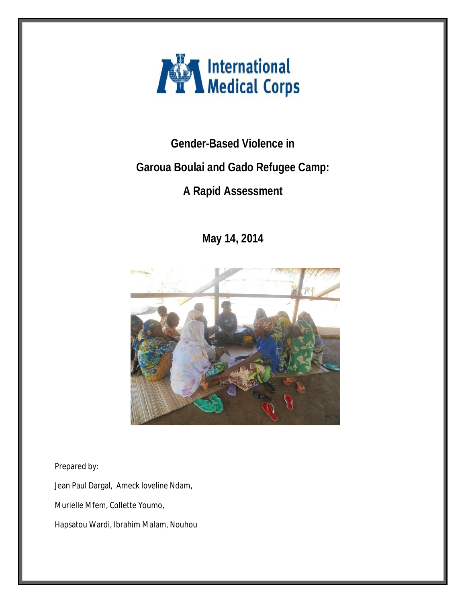

**Gender-Based Violence in** 

# **Garoua Boulai and Gado Refugee Camp:**

# **A Rapid Assessment**

**May 14, 2014**



Prepared by:

Jean Paul Dargal, Ameck loveline Ndam,

Murielle Mfem, Collette Youmo,

Hapsatou Wardi, Ibrahim Malam, Nouhou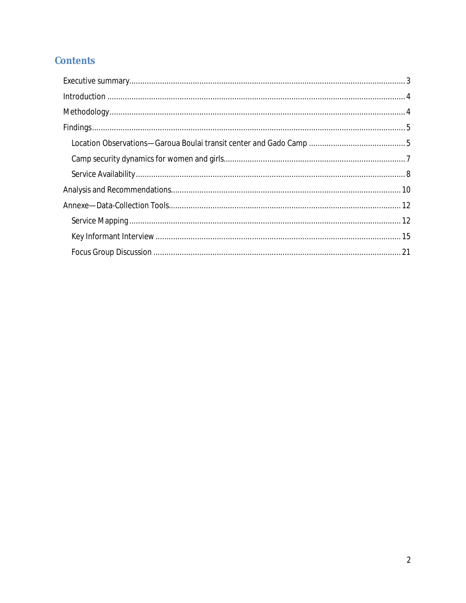## **Contents**

| Findings. 55 |  |
|--------------|--|
|              |  |
|              |  |
|              |  |
|              |  |
|              |  |
|              |  |
|              |  |
|              |  |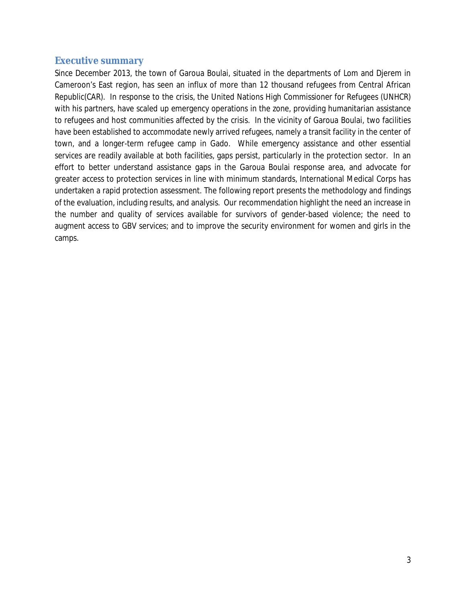## **Executive summary**

Since December 2013, the town of Garoua Boulai, situated in the departments of Lom and Djerem in Cameroon's East region, has seen an influx of more than 12 thousand refugees from Central African Republic(CAR). In response to the crisis, the United Nations High Commissioner for Refugees (UNHCR) with his partners, have scaled up emergency operations in the zone, providing humanitarian assistance to refugees and host communities affected by the crisis. In the vicinity of Garoua Boulai, two facilities have been established to accommodate newly arrived refugees, namely a transit facility in the center of town, and a longer-term refugee camp in Gado. While emergency assistance and other essential services are readily available at both facilities, gaps persist, particularly in the protection sector. In an effort to better understand assistance gaps in the Garoua Boulai response area, and advocate for greater access to protection services in line with minimum standards, International Medical Corps has undertaken a rapid protection assessment. The following report presents the methodology and findings of the evaluation, including results, and analysis. Our recommendation highlight the need an increase in the number and quality of services available for survivors of gender-based violence; the need to augment access to GBV services; and to improve the security environment for women and girls in the camps.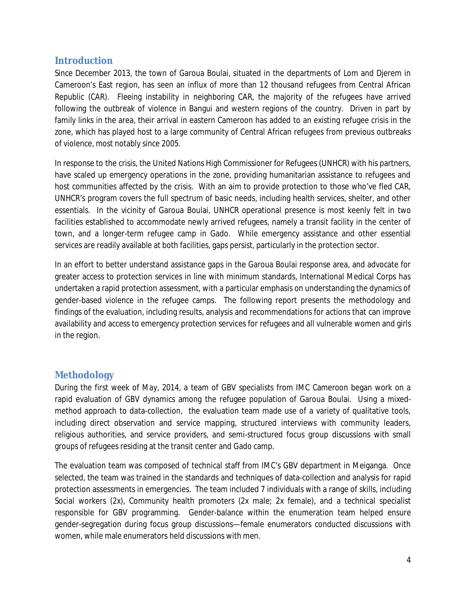## **Introduction**

Since December 2013, the town of Garoua Boulai, situated in the departments of Lom and Djerem in Cameroon's East region, has seen an influx of more than 12 thousand refugees from Central African Republic (CAR). Fleeing instability in neighboring CAR, the majority of the refugees have arrived following the outbreak of violence in Bangui and western regions of the country. Driven in part by family links in the area, their arrival in eastern Cameroon has added to an existing refugee crisis in the zone, which has played host to a large community of Central African refugees from previous outbreaks of violence, most notably since 2005.

In response to the crisis, the United Nations High Commissioner for Refugees (UNHCR) with his partners, have scaled up emergency operations in the zone, providing humanitarian assistance to refugees and host communities affected by the crisis. With an aim to provide protection to those who've fled CAR, UNHCR's program covers the full spectrum of basic needs, including health services, shelter, and other essentials. In the vicinity of Garoua Boulai, UNHCR operational presence is most keenly felt in two facilities established to accommodate newly arrived refugees, namely a transit facility in the center of town, and a longer-term refugee camp in Gado. While emergency assistance and other essential services are readily available at both facilities, gaps persist, particularly in the protection sector.

In an effort to better understand assistance gaps in the Garoua Boulai response area, and advocate for greater access to protection services in line with minimum standards, International Medical Corps has undertaken a rapid protection assessment, with a particular emphasis on understanding the dynamics of gender-based violence in the refugee camps. The following report presents the methodology and findings of the evaluation, including results, analysis and recommendations for actions that can improve availability and access to emergency protection services for refugees and all vulnerable women and girls in the region.

## **Methodology**

During the first week of May, 2014, a team of GBV specialists from IMC Cameroon began work on a rapid evaluation of GBV dynamics among the refugee population of Garoua Boulai. Using a mixedmethod approach to data-collection, the evaluation team made use of a variety of qualitative tools, including direct observation and service mapping, structured interviews with community leaders, religious authorities, and service providers, and semi-structured focus group discussions with small groups of refugees residing at the transit center and Gado camp.

The evaluation team was composed of technical staff from IMC's GBV department in Meiganga. Once selected, the team was trained in the standards and techniques of data-collection and analysis for rapid protection assessments in emergencies. The team included 7 individuals with a range of skills, including Social workers (2x), Community health promoters (2x male; 2x female), and a technical specialist responsible for GBV programming. Gender-balance within the enumeration team helped ensure gender-segregation during focus group discussions—female enumerators conducted discussions with women, while male enumerators held discussions with men.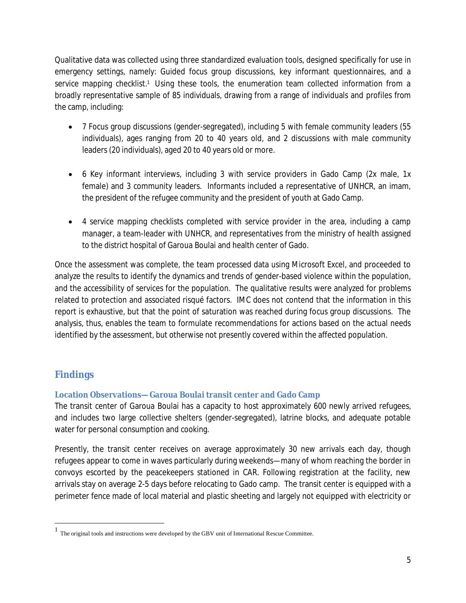Qualitative data was collected using three standardized evaluation tools, designed specifically for use in emergency settings, namely: Guided focus group discussions, key informant questionnaires, and a service mapping checklist.<sup>1</sup> Using these tools, the enumeration team collected information from a broadly representative sample of 85 individuals, drawing from a range of individuals and profiles from the camp, including:

- 7 Focus group discussions (gender-segregated), including 5 with female community leaders (55 individuals), ages ranging from 20 to 40 years old, and 2 discussions with male community leaders (20 individuals), aged 20 to 40 years old or more.
- 6 Key informant interviews, including 3 with service providers in Gado Camp (2x male, 1x female) and 3 community leaders. Informants included a representative of UNHCR, an imam, the president of the refugee community and the president of youth at Gado Camp.
- 4 service mapping checklists completed with service provider in the area, including a camp manager, a team-leader with UNHCR, and representatives from the ministry of health assigned to the district hospital of Garoua Boulai and health center of Gado.

Once the assessment was complete, the team processed data using Microsoft Excel, and proceeded to analyze the results to identify the dynamics and trends of gender-based violence within the population, and the accessibility of services for the population. The qualitative results were analyzed for problems related to protection and associated risqué factors. IMC does not contend that the information in this report is exhaustive, but that the point of saturation was reached during focus group discussions. The analysis, thus, enables the team to formulate recommendations for actions based on the actual needs identified by the assessment, but otherwise not presently covered within the affected population.

## **Findings**

 $\overline{\phantom{a}}$ 

## **Location Observations—Garoua Boulai transit center and Gado Camp**

The transit center of Garoua Boulai has a capacity to host approximately 600 newly arrived refugees, and includes two large collective shelters (gender-segregated), latrine blocks, and adequate potable water for personal consumption and cooking.

Presently, the transit center receives on average approximately 30 new arrivals each day, though refugees appear to come in waves particularly during weekends—many of whom reaching the border in convoys escorted by the peacekeepers stationed in CAR. Following registration at the facility, new arrivals stay on average 2-5 days before relocating to Gado camp. The transit center is equipped with a perimeter fence made of local material and plastic sheeting and largely not equipped with electricity or

<sup>1</sup> The original tools and instructions were developed by the GBV unit of International Rescue Committee.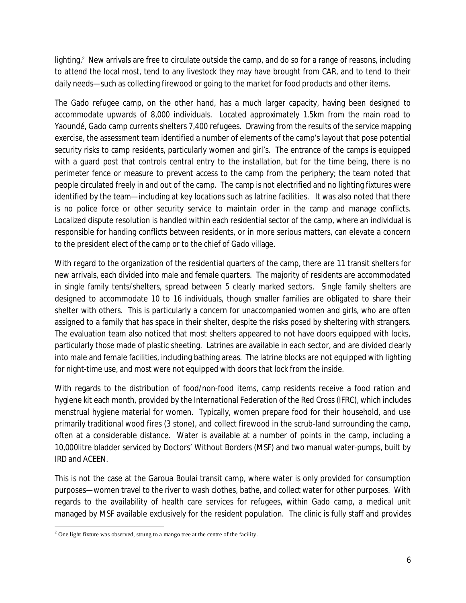lighting.<sup>2</sup> New arrivals are free to circulate outside the camp, and do so for a range of reasons, including to attend the local most, tend to any livestock they may have brought from CAR, and to tend to their daily needs—such as collecting firewood or going to the market for food products and other items.

The Gado refugee camp, on the other hand, has a much larger capacity, having been designed to accommodate upwards of 8,000 individuals. Located approximately 1.5km from the main road to Yaoundé, Gado camp currents shelters 7,400 refugees. Drawing from the results of the service mapping exercise, the assessment team identified a number of elements of the camp's layout that pose potential security risks to camp residents, particularly women and girl's. The entrance of the camps is equipped with a guard post that controls central entry to the installation, but for the time being, there is no perimeter fence or measure to prevent access to the camp from the periphery; the team noted that people circulated freely in and out of the camp. The camp is not electrified and no lighting fixtures were identified by the team—including at key locations such as latrine facilities. It was also noted that there is no police force or other security service to maintain order in the camp and manage conflicts. Localized dispute resolution is handled within each residential sector of the camp, where an individual is responsible for handing conflicts between residents, or in more serious matters, can elevate a concern to the president elect of the camp or to the chief of Gado village.

With regard to the organization of the residential quarters of the camp, there are 11 transit shelters for new arrivals, each divided into male and female quarters. The majority of residents are accommodated in single family tents/shelters, spread between 5 clearly marked sectors. Single family shelters are designed to accommodate 10 to 16 individuals, though smaller families are obligated to share their shelter with others. This is particularly a concern for unaccompanied women and girls, who are often assigned to a family that has space in their shelter, despite the risks posed by sheltering with strangers. The evaluation team also noticed that most shelters appeared to not have doors equipped with locks, particularly those made of plastic sheeting. Latrines are available in each sector, and are divided clearly into male and female facilities, including bathing areas. The latrine blocks are not equipped with lighting for night-time use, and most were not equipped with doors that lock from the inside.

With regards to the distribution of food/non-food items, camp residents receive a food ration and hygiene kit each month, provided by the International Federation of the Red Cross (IFRC), which includes menstrual hygiene material for women. Typically, women prepare food for their household, and use primarily traditional wood fires (3 stone), and collect firewood in the scrub-land surrounding the camp, often at a considerable distance. Water is available at a number of points in the camp, including a 10,000litre bladder serviced by Doctors' Without Borders (MSF) and two manual water-pumps, built by IRD and ACEEN.

This is not the case at the Garoua Boulai transit camp, where water is only provided for consumption purposes—women travel to the river to wash clothes, bathe, and collect water for other purposes. With regards to the availability of health care services for refugees, within Gado camp, a medical unit managed by MSF available exclusively for the resident population. The clinic is fully staff and provides

 $\overline{\phantom{a}}$  $2$  One light fixture was observed, strung to a mango tree at the centre of the facility.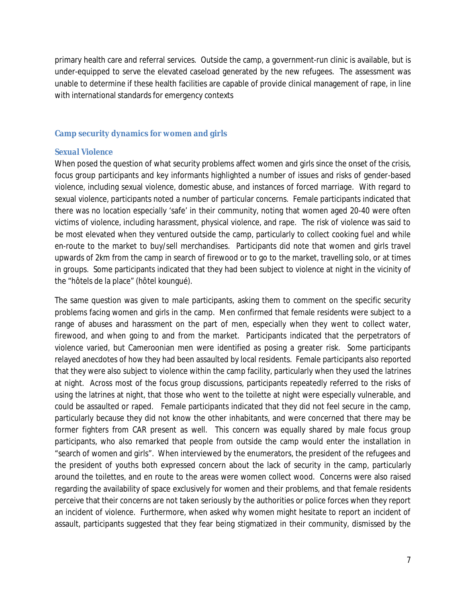primary health care and referral services. Outside the camp, a government-run clinic is available, but is under-equipped to serve the elevated caseload generated by the new refugees. The assessment was unable to determine if these health facilities are capable of provide clinical management of rape, in line with international standards for emergency contexts

## **Camp security dynamics for women and girls**

## *Sexual Violence*

When posed the question of what security problems affect women and girls since the onset of the crisis, focus group participants and key informants highlighted a number of issues and risks of gender-based violence, including sexual violence, domestic abuse, and instances of forced marriage. With regard to sexual violence, participants noted a number of particular concerns. Female participants indicated that there was no location especially 'safe' in their community, noting that women aged 20-40 were often victims of violence, including harassment, physical violence, and rape. The risk of violence was said to be most elevated when they ventured outside the camp, particularly to collect cooking fuel and while en-route to the market to buy/sell merchandises. Participants did note that women and girls travel upwards of 2km from the camp in search of firewood or to go to the market, travelling solo, or at times in groups. Some participants indicated that they had been subject to violence at night in the vicinity of the "hôtels de la place" (hôtel koungué).

The same question was given to male participants, asking them to comment on the specific security problems facing women and girls in the camp. Men confirmed that female residents were subject to a range of abuses and harassment on the part of men, especially when they went to collect water, firewood, and when going to and from the market. Participants indicated that the perpetrators of violence varied, but Cameroonian men were identified as posing a greater risk. Some participants relayed anecdotes of how they had been assaulted by local residents. Female participants also reported that they were also subject to violence within the camp facility, particularly when they used the latrines at night. Across most of the focus group discussions, participants repeatedly referred to the risks of using the latrines at night, that those who went to the toilette at night were especially vulnerable, and could be assaulted or raped. Female participants indicated that they did not feel secure in the camp, particularly because they did not know the other inhabitants, and were concerned that there may be former fighters from CAR present as well. This concern was equally shared by male focus group participants, who also remarked that people from outside the camp would enter the installation in "search of women and girls". When interviewed by the enumerators, the president of the refugees and the president of youths both expressed concern about the lack of security in the camp, particularly around the toilettes, and en route to the areas were women collect wood. Concerns were also raised regarding the availability of space exclusively for women and their problems, and that female residents perceive that their concerns are not taken seriously by the authorities or police forces when they report an incident of violence. Furthermore, when asked why women might hesitate to report an incident of assault, participants suggested that they fear being stigmatized in their community, dismissed by the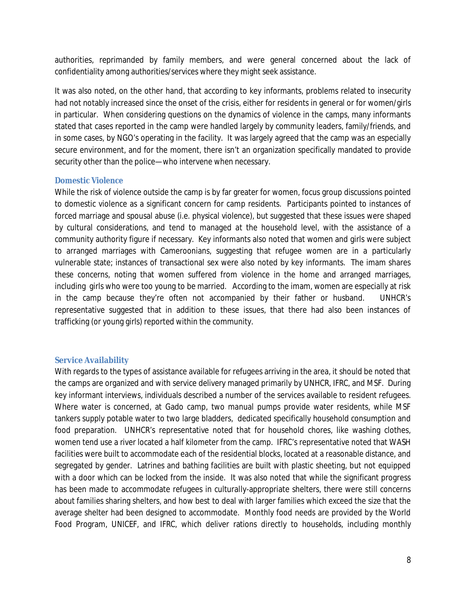authorities, reprimanded by family members, and were general concerned about the lack of confidentiality among authorities/services where they might seek assistance.

It was also noted, on the other hand, that according to key informants, problems related to insecurity had not notably increased since the onset of the crisis, either for residents in general or for women/girls in particular. When considering questions on the dynamics of violence in the camps, many informants stated that cases reported in the camp were handled largely by community leaders, family/friends, and in some cases, by NGO's operating in the facility. It was largely agreed that the camp was an especially secure environment, and for the moment, there isn't an organization specifically mandated to provide security other than the police—who intervene when necessary.

## *Domestic Violence*

While the risk of violence outside the camp is by far greater for women, focus group discussions pointed to domestic violence as a significant concern for camp residents. Participants pointed to instances of forced marriage and spousal abuse (i.e. physical violence), but suggested that these issues were shaped by cultural considerations, and tend to managed at the household level, with the assistance of a community authority figure if necessary. Key informants also noted that women and girls were subject to arranged marriages with Cameroonians, suggesting that refugee women are in a particularly vulnerable state; instances of transactional sex were also noted by key informants. The imam shares these concerns, noting that women suffered from violence in the home and arranged marriages, including girls who were too young to be married. According to the imam, women are especially at risk in the camp because they're often not accompanied by their father or husband. UNHCR's representative suggested that in addition to these issues, that there had also been instances of trafficking (or young girls) reported within the community.

## **Service Availability**

With regards to the types of assistance available for refugees arriving in the area, it should be noted that the camps are organized and with service delivery managed primarily by UNHCR, IFRC, and MSF. During key informant interviews, individuals described a number of the services available to resident refugees. Where water is concerned, at Gado camp, two manual pumps provide water residents, while MSF tankers supply potable water to two large bladders, dedicated specifically household consumption and food preparation. UNHCR's representative noted that for household chores, like washing clothes, women tend use a river located a half kilometer from the camp. IFRC's representative noted that WASH facilities were built to accommodate each of the residential blocks, located at a reasonable distance, and segregated by gender. Latrines and bathing facilities are built with plastic sheeting, but not equipped with a door which can be locked from the inside. It was also noted that while the significant progress has been made to accommodate refugees in culturally-appropriate shelters, there were still concerns about families sharing shelters, and how best to deal with larger families which exceed the size that the average shelter had been designed to accommodate. Monthly food needs are provided by the World Food Program, UNICEF, and IFRC, which deliver rations directly to households, including monthly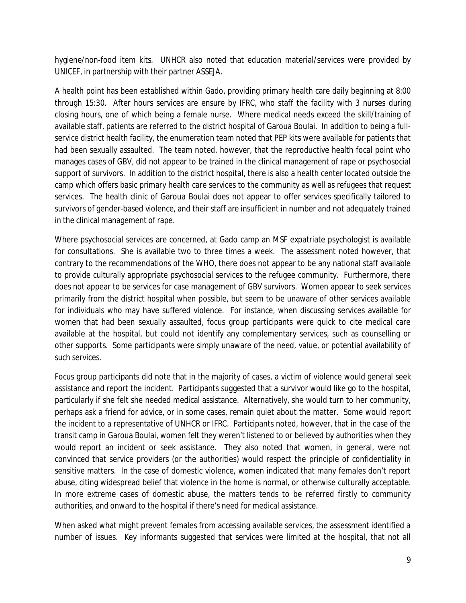hygiene/non-food item kits. UNHCR also noted that education material/services were provided by UNICEF, in partnership with their partner ASSEJA.

A health point has been established within Gado, providing primary health care daily beginning at 8:00 through 15:30. After hours services are ensure by IFRC, who staff the facility with 3 nurses during closing hours, one of which being a female nurse. Where medical needs exceed the skill/training of available staff, patients are referred to the district hospital of Garoua Boulai. In addition to being a fullservice district health facility, the enumeration team noted that PEP kits were available for patients that had been sexually assaulted. The team noted, however, that the reproductive health focal point who manages cases of GBV, did not appear to be trained in the clinical management of rape or psychosocial support of survivors. In addition to the district hospital, there is also a health center located outside the camp which offers basic primary health care services to the community as well as refugees that request services. The health clinic of Garoua Boulai does not appear to offer services specifically tailored to survivors of gender-based violence, and their staff are insufficient in number and not adequately trained in the clinical management of rape.

Where psychosocial services are concerned, at Gado camp an MSF expatriate psychologist is available for consultations. She is available two to three times a week. The assessment noted however, that contrary to the recommendations of the WHO, there does not appear to be any national staff available to provide culturally appropriate psychosocial services to the refugee community. Furthermore, there does not appear to be services for case management of GBV survivors. Women appear to seek services primarily from the district hospital when possible, but seem to be unaware of other services available for individuals who may have suffered violence. For instance, when discussing services available for women that had been sexually assaulted, focus group participants were quick to cite medical care available at the hospital, but could not identify any complementary services, such as counselling or other supports. Some participants were simply unaware of the need, value, or potential availability of such services.

Focus group participants did note that in the majority of cases, a victim of violence would general seek assistance and report the incident. Participants suggested that a survivor would like go to the hospital, particularly if she felt she needed medical assistance. Alternatively, she would turn to her community, perhaps ask a friend for advice, or in some cases, remain quiet about the matter. Some would report the incident to a representative of UNHCR or IFRC. Participants noted, however, that in the case of the transit camp in Garoua Boulai, women felt they weren't listened to or believed by authorities when they would report an incident or seek assistance. They also noted that women, in general, were not convinced that service providers (or the authorities) would respect the principle of confidentiality in sensitive matters. In the case of domestic violence, women indicated that many females don't report abuse, citing widespread belief that violence in the home is normal, or otherwise culturally acceptable. In more extreme cases of domestic abuse, the matters tends to be referred firstly to community authorities, and onward to the hospital if there's need for medical assistance.

When asked what might prevent females from accessing available services, the assessment identified a number of issues. Key informants suggested that services were limited at the hospital, that not all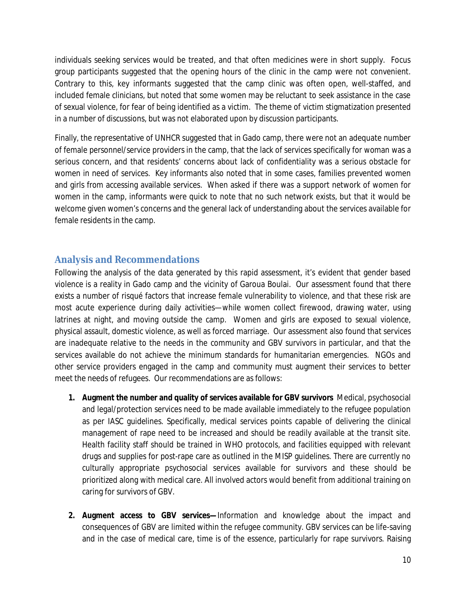individuals seeking services would be treated, and that often medicines were in short supply. Focus group participants suggested that the opening hours of the clinic in the camp were not convenient. Contrary to this, key informants suggested that the camp clinic was often open, well-staffed, and included female clinicians, but noted that some women may be reluctant to seek assistance in the case of sexual violence, for fear of being identified as a victim. The theme of victim stigmatization presented in a number of discussions, but was not elaborated upon by discussion participants.

Finally, the representative of UNHCR suggested that in Gado camp, there were not an adequate number of female personnel/service providers in the camp, that the lack of services specifically for woman was a serious concern, and that residents' concerns about lack of confidentiality was a serious obstacle for women in need of services. Key informants also noted that in some cases, families prevented women and girls from accessing available services. When asked if there was a support network of women for women in the camp, informants were quick to note that no such network exists, but that it would be welcome given women's concerns and the general lack of understanding about the services available for female residents in the camp.

## **Analysis and Recommendations**

Following the analysis of the data generated by this rapid assessment, it's evident that gender based violence is a reality in Gado camp and the vicinity of Garoua Boulai. Our assessment found that there exists a number of risqué factors that increase female vulnerability to violence, and that these risk are most acute experience during daily activities—while women collect firewood, drawing water, using latrines at night, and moving outside the camp. Women and girls are exposed to sexual violence, physical assault, domestic violence, as well as forced marriage. Our assessment also found that services are inadequate relative to the needs in the community and GBV survivors in particular, and that the services available do not achieve the minimum standards for humanitarian emergencies. NGOs and other service providers engaged in the camp and community must augment their services to better meet the needs of refugees. Our recommendations are as follows:

- **1. Augment the number and quality of services available for GBV survivors** Medical, psychosocial and legal/protection services need to be made available immediately to the refugee population as per IASC guidelines. Specifically, medical services points capable of delivering the clinical management of rape need to be increased and should be readily available at the transit site. Health facility staff should be trained in WHO protocols, and facilities equipped with relevant drugs and supplies for post-rape care as outlined in the MISP guidelines. There are currently no culturally appropriate psychosocial services available for survivors and these should be prioritized along with medical care. All involved actors would benefit from additional training on caring for survivors of GBV.
- **2. Augment access to GBV services—**Information and knowledge about the impact and consequences of GBV are limited within the refugee community. GBV services can be life-saving and in the case of medical care, time is of the essence, particularly for rape survivors. Raising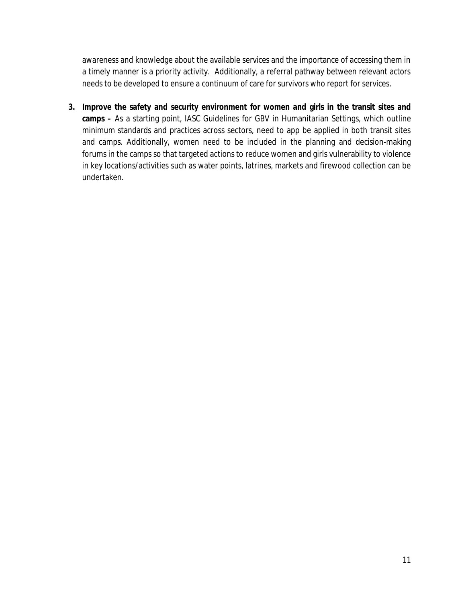awareness and knowledge about the available services and the importance of accessing them in a timely manner is a priority activity. Additionally, a referral pathway between relevant actors needs to be developed to ensure a continuum of care for survivors who report for services.

**3. Improve the safety and security environment for women and girls in the transit sites and camps –** As a starting point, IASC Guidelines for GBV in Humanitarian Settings, which outline minimum standards and practices across sectors, need to app be applied in both transit sites and camps. Additionally, women need to be included in the planning and decision-making forums in the camps so that targeted actions to reduce women and girls vulnerability to violence in key locations/activities such as water points, latrines, markets and firewood collection can be undertaken.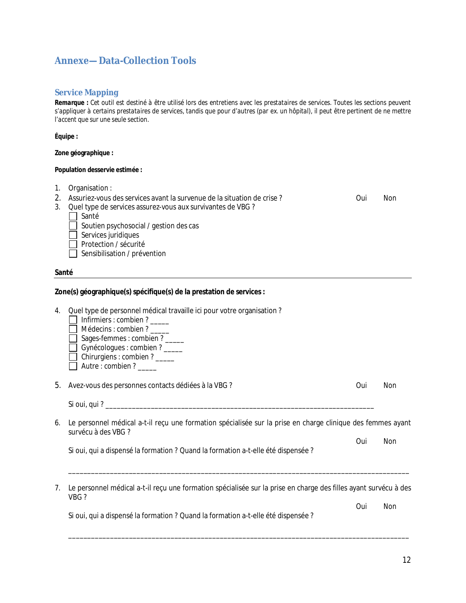## **Annexe—Data-Collection Tools**

### **Service Mapping**

*Remarque : Cet outil est destiné à être utilisé lors des entretiens avec les prestataires de services. Toutes les sections peuvent s'appliquer à certains prestataires de services, tandis que pour d'autres (par ex. un hôpital), il peut être pertinent de ne mettre l'accent que sur une seule section.*

**Équipe :**

**Zone géographique :**

#### **Population desservie estimée :**

- 1. Organisation :
- 2. Assuriez-vous des services avant la survenue de la situation de crise ? Community on the Non-
- 3. Quel type de services assurez-vous aux survivantes de VBG ?

Santé

- $\Box$  Soutien psychosocial / gestion des cas
- $\Box$  Services juridiques
- $\Box$  Protection / sécurité

 $\Box$  Sensibilisation / prévention

#### **Santé**

#### **Zone(s) géographique(s) spécifique(s) de la prestation de services :**

- 4. Quel type de personnel médical travaille ici pour votre organisation ?
	- $\Box$  Infirmiers : combien ?
	- $\Box$  Médecins : combien ? \_\_\_\_\_
	- Sages-femmes : combien ?
	- $\overline{\Box}$  Gynécologues : combien ? \_\_\_\_\_
	- $\Box$  Chirurgiens : combien ?
	- $\Box$  Autre : combien ? \_\_\_\_\_

5. Avez-vous des personnes contacts dédiées à la VBG ? Contracts des personnes contacts dédiées à la VBG ?

Si oui, qui ? \_\_\_\_\_\_\_\_\_\_\_\_\_\_\_\_\_\_\_\_\_\_\_\_\_\_\_\_\_\_\_\_\_\_\_\_\_\_\_\_\_\_\_\_\_\_\_\_\_\_\_\_\_\_\_\_\_\_\_\_\_\_\_\_\_\_\_\_\_\_\_

6. Le personnel médical a-t-il reçu une formation spécialisée sur la prise en charge clinique des femmes ayant survécu à des VBG ?

Oui Non Si oui, qui a dispensé la formation ? Quand la formation a-t-elle été dispensée ?

7. Le personnel médical a-t-il reçu une formation spécialisée sur la prise en charge des filles ayant survécu à des VBG ?

\_\_\_\_\_\_\_\_\_\_\_\_\_\_\_\_\_\_\_\_\_\_\_\_\_\_\_\_\_\_\_\_\_\_\_\_\_\_\_\_\_\_\_\_\_\_\_\_\_\_\_\_\_\_\_\_\_\_\_\_\_\_\_\_\_\_\_\_\_\_\_\_\_\_\_\_\_\_\_\_\_\_\_\_\_\_\_\_\_\_

\_\_\_\_\_\_\_\_\_\_\_\_\_\_\_\_\_\_\_\_\_\_\_\_\_\_\_\_\_\_\_\_\_\_\_\_\_\_\_\_\_\_\_\_\_\_\_\_\_\_\_\_\_\_\_\_\_\_\_\_\_\_\_\_\_\_\_\_\_\_\_\_\_\_\_\_\_\_\_\_\_\_\_\_\_\_\_\_\_\_

Oui Non Si oui, qui a dispensé la formation ? Quand la formation a-t-elle été dispensée ?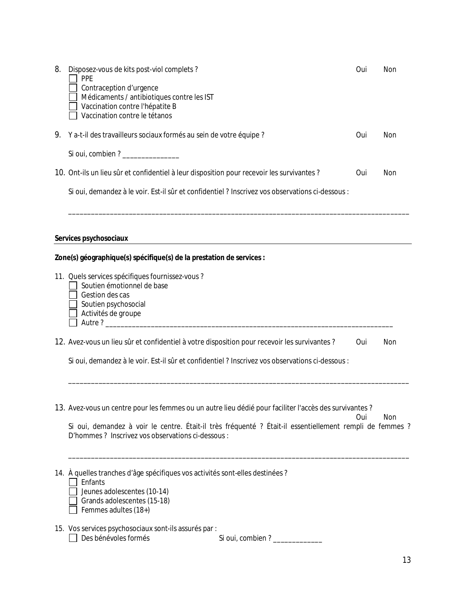| 8. | Disposez-vous de kits post-viol complets?<br>PPE<br>Contraception d'urgence<br>Médicaments / antibiotiques contre les IST                                                                                                      | Oui | Non |
|----|--------------------------------------------------------------------------------------------------------------------------------------------------------------------------------------------------------------------------------|-----|-----|
|    | Vaccination contre l'hépatite B<br>Vaccination contre le tétanos                                                                                                                                                               |     |     |
| 9. | Y a-t-il des travailleurs sociaux formés au sein de votre équipe ?                                                                                                                                                             | Oui | Non |
|    | Si oui, combien ? ______________                                                                                                                                                                                               |     |     |
|    | 10. Ont-ils un lieu sûr et confidentiel à leur disposition pour recevoir les survivantes ?                                                                                                                                     | Oui | Non |
|    | Si oui, demandez à le voir. Est-il sûr et confidentiel ? Inscrivez vos observations ci-dessous :                                                                                                                               |     |     |
|    |                                                                                                                                                                                                                                |     |     |
|    |                                                                                                                                                                                                                                |     |     |
|    | Services psychosociaux                                                                                                                                                                                                         |     |     |
|    | Zone(s) géographique(s) spécifique(s) de la prestation de services :                                                                                                                                                           |     |     |
|    | 11. Quels services spécifiques fournissez-vous ?<br>Soutien émotionnel de base                                                                                                                                                 |     |     |
|    | Gestion des cas                                                                                                                                                                                                                |     |     |
|    | Soutien psychosocial<br>Activités de groupe                                                                                                                                                                                    |     |     |
|    | Autre? Autre and the second state of the second state of the second state of the second state of the second state of the second state of the second state of the second state of the second state of the second state of the s |     |     |
|    | 12. Avez-vous un lieu sûr et confidentiel à votre disposition pour recevoir les survivantes ?                                                                                                                                  | Oui | Non |
|    | Si oui, demandez à le voir. Est-il sûr et confidentiel ? Inscrivez vos observations ci-dessous :                                                                                                                               |     |     |
|    |                                                                                                                                                                                                                                |     |     |
|    |                                                                                                                                                                                                                                |     |     |
|    | 13. Avez-vous un centre pour les femmes ou un autre lieu dédié pour faciliter l'accès des survivantes ?                                                                                                                        | Oui | Non |
|    | Si oui, demandez à voir le centre. Était-il très fréquenté ? Était-il essentiellement rempli de femmes ?<br>D'hommes ? Inscrivez vos observations ci-dessous :                                                                 |     |     |
|    |                                                                                                                                                                                                                                |     |     |
|    | 14. À quelles tranches d'âge spécifiques vos activités sont-elles destinées ?<br>Enfants                                                                                                                                       |     |     |

- Jeunes adolescentes (10-14) Grands adolescentes (15-18)
- Femmes adultes (18+)
- 15. Vos services psychosociaux sont-ils assurés par :

| Des bénévoles formés | Si oui, combien? |
|----------------------|------------------|
|----------------------|------------------|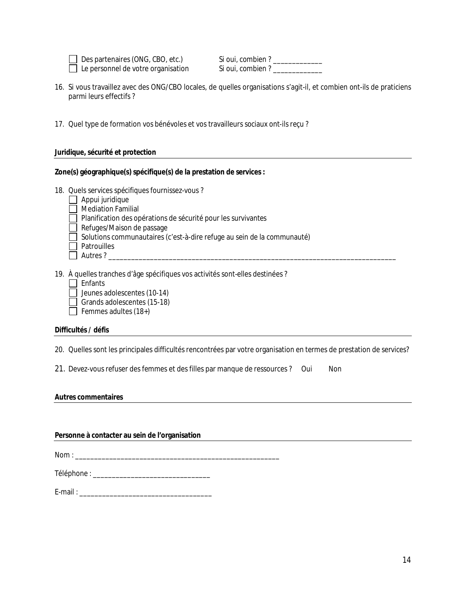Des partenaires (ONG, CBO, etc.) Si oui, combien ? \_\_\_\_\_\_\_\_\_\_\_\_\_\_ Le personnel de votre organisation Si oui, combien ? \_\_\_\_\_\_\_\_\_\_\_\_\_\_

- 16. Si vous travaillez avec des ONG/CBO locales, de quelles organisations s'agit-il, et combien ont-ils de praticiens parmi leurs effectifs ?
- 17. Quel type de formation vos bénévoles et vos travailleurs sociaux ont-ils reçu ?

#### **Juridique, sécurité et protection**

## **Zone(s) géographique(s) spécifique(s) de la prestation de services :**

- 18. Quels services spécifiques fournissez-vous ?
	- $\Box$  Appui juridique
	- Mediation Familial
	- $\Box$  Planification des opérations de sécurité pour les survivantes
	- $\Box$  Refuges/Maison de passage
	- $\Box$  Solutions communautaires (c'est-à-dire refuge au sein de la communauté)
	- $\Box$  Patrouilles
	- Autres ? \_\_\_\_\_\_\_\_\_\_\_\_\_\_\_\_\_\_\_\_\_\_\_\_\_\_\_\_\_\_\_\_\_\_\_\_\_\_\_\_\_\_\_\_\_\_\_\_\_\_\_\_\_\_\_\_\_\_\_\_\_\_\_\_\_\_\_\_\_\_\_\_\_\_\_\_

19. À quelles tranches d'âge spécifiques vos activités sont-elles destinées ?

- $\Box$  Enfants
- $\Box$  Jeunes adolescentes (10-14)
- Grands adolescentes  $(15-18)$
- $\Box$  Femmes adultes (18+)

#### **Difficultés / défis**

20. Quelles sont les principales difficultés rencontrées par votre organisation en termes de prestation de services?

21. Devez-vous refuser des femmes et des filles par manque de ressources ? Oui Non

#### **Autres commentaires**

#### **Personne à contacter au sein de l'organisation**

 $\mathsf{Nom}:$ 

Téléphone : \_\_\_\_\_\_\_\_\_\_\_\_\_\_\_\_\_\_\_\_\_\_\_\_\_\_\_\_\_\_\_

E-mail : \_\_\_\_\_\_\_\_\_\_\_\_\_\_\_\_\_\_\_\_\_\_\_\_\_\_\_\_\_\_\_\_\_\_\_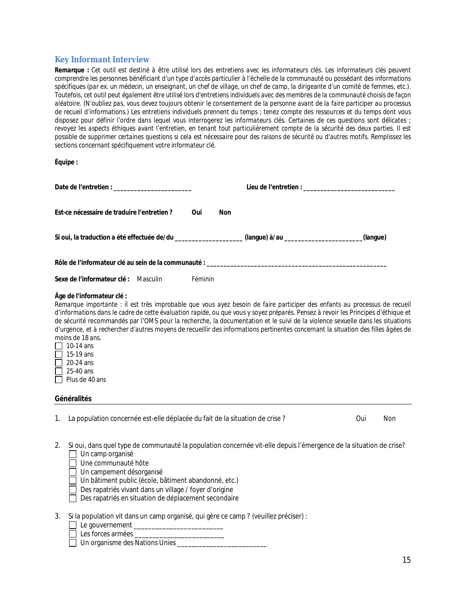## **Key Informant Interview**

*Remarque : Cet outil est destiné à être utilisé lors des entretiens avec les informateurs clés. Les informateurs clés peuvent comprendre les personnes bénéficiant d'un type d'accès particulier à l'échelle de la communauté ou possédant des informations spécifiques (par ex. un médecin, un enseignant, un chef de village, un chef de camp, la dirigeante d'un comité de femmes, etc.). Toutefois, cet outil peut également être utilisé lors d'entretiens individuels avec des membres de la communauté choisis de façon aléatoire. (N'oubliez pas, vous devez toujours obtenir le consentement de la personne avant de la faire participer au processus de recueil d'informations.) Les entretiens individuels prennent du temps ; tenez compte des ressources et du temps dont vous disposez pour définir l'ordre dans lequel vous interrogerez les informateurs clés. Certaines de ces questions sont délicates ; revoyez les aspects éthiques avant l'entretien, en tenant tout particulièrement compte de la sécurité des deux parties. Il est possible de supprimer certaines questions si cela est nécessaire pour des raisons de sécurité ou d'autres motifs. Remplissez les sections concernant spécifiquement votre informateur clé.* 

#### **Équipe :**

| Est-ce nécessaire de traduire l'entretien?                                                                                                                                                                                                                                                                                                                                                                                                                                                                                                                                                                                                                                                | Oui     | <b>Non</b> |     |     |
|-------------------------------------------------------------------------------------------------------------------------------------------------------------------------------------------------------------------------------------------------------------------------------------------------------------------------------------------------------------------------------------------------------------------------------------------------------------------------------------------------------------------------------------------------------------------------------------------------------------------------------------------------------------------------------------------|---------|------------|-----|-----|
| Si oui, la traduction a été effectuée de/du _________________(langue) à/au __________________(langue)                                                                                                                                                                                                                                                                                                                                                                                                                                                                                                                                                                                     |         |            |     |     |
|                                                                                                                                                                                                                                                                                                                                                                                                                                                                                                                                                                                                                                                                                           |         |            |     |     |
| Sexe de l'informateur clé : Masculin                                                                                                                                                                                                                                                                                                                                                                                                                                                                                                                                                                                                                                                      | Féminin |            |     |     |
| Âge de l'informateur clé :<br>Remarque importante : il est très improbable que vous ayez besoin de faire participer des enfants au processus de recueil<br>d'informations dans le cadre de cette évaluation rapide, ou que vous y soyez préparés. Pensez à revoir les Principes d'éthique et<br>de sécurité recommandés par l'OMS pour la recherche, la documentation et le suivi de la violence sexuelle dans les situations<br>d'urgence, et à rechercher d'autres moyens de recueillir des informations pertinentes concernant la situation des filles âgées de<br>moins de 18 ans.<br>$ $   10-14 ans<br>$\Box$ 15-19 ans<br>$\Box$ 20-24 ans<br>$\Box$ 25-40 ans<br>  Plus de 40 ans |         |            |     |     |
| Généralités                                                                                                                                                                                                                                                                                                                                                                                                                                                                                                                                                                                                                                                                               |         |            |     |     |
| 1. La population concernée est-elle déplacée du fait de la situation de crise?                                                                                                                                                                                                                                                                                                                                                                                                                                                                                                                                                                                                            |         |            | Oui | Non |

2. Si oui, dans quel type de communauté la population concernée vit-elle depuis l'émergence de la situation de crise?  $\Box$  Un camp organisé

| $\Box$ On camp organisc |
|-------------------------|
| □ Une communauté hôte   |

Un campement désorganisé

 $\Box$  Un bâtiment public (école, bâtiment abandonné, etc.)

- $\Box$  Des rapatriés vivant dans un village / foyer d'origine
- $\Box$  Des rapatriés en situation de déplacement secondaire
- 3. Si la population vit dans un camp organisé, qui gère ce camp ? (veuillez préciser) :
	- $\Box$  Le gouvernement  $\Box$
	- Les forces armées \_\_\_\_\_\_\_\_\_\_\_\_\_\_\_\_\_\_\_\_\_\_\_\_\_
	- Un organisme des Nations Unies \_\_\_\_\_\_\_\_\_\_\_\_\_\_\_\_\_\_\_\_\_\_\_\_\_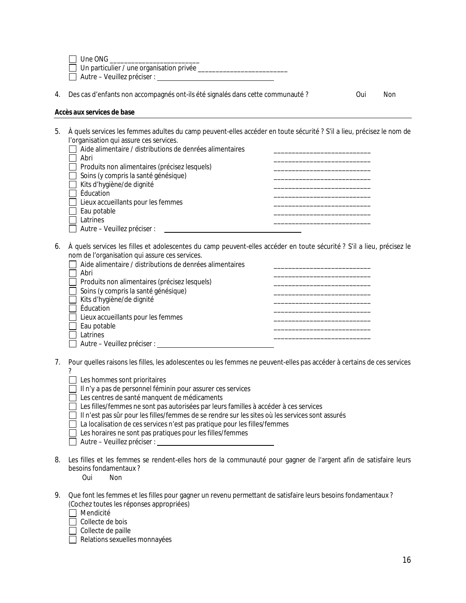| Une ONG |  |  |
|---------|--|--|
|         |  |  |

Un particulier / une organisation privée \_\_\_\_\_\_\_\_\_\_\_\_\_\_\_\_\_\_\_\_\_\_\_\_\_

Autre – Veuillez préciser :

|  | 4. Des cas d'enfants non accompagnés ont-ils été signalés dans cette communauté? | Oui | Non |
|--|----------------------------------------------------------------------------------|-----|-----|
|--|----------------------------------------------------------------------------------|-----|-----|

#### **Accès aux services de base**

5. À quels services les femmes adultes du camp peuvent-elles accéder en toute sécurité ? S'il a lieu, précisez le nom de l'organisation qui assure ces services.  $\Box$  Aide alimentaire / distributions de denrées alimentaires

| <u>Thuộ dinhộn tấn ở Parsti nhấtiôns do đồm cos dinhôn tấn cs</u> |  |
|-------------------------------------------------------------------|--|
| Abri                                                              |  |
| $\Box$ Produits non alimentaires (précisez lesquels)              |  |
| $\Box$ Soins (y compris la santé génésique)                       |  |
| ■ Kits d'hygiène/de dignité                                       |  |
| $\Box$ Éducation                                                  |  |
| $\Box$ Lieux accueillants pour les femmes                         |  |
| $\Box$ Eau potable                                                |  |
| Latrines                                                          |  |
| $\Box$ Autre – Veuillez préciser :                                |  |

6. À quels services les filles et adolescentes du camp peuvent-elles accéder en toute sécurité ? S'il a lieu, précisez le nom de l'organisation qui assure ces services.

| Aide alimentaire / distributions de denrées alimentaires |  |
|----------------------------------------------------------|--|
| Abri                                                     |  |
| Produits non alimentaires (précisez lesquels)            |  |
| Soins (y compris la santé génésique)                     |  |
| Kits d'hygiène/de dignité                                |  |
| ↑ Éducation                                              |  |
| $\Box$ Lieux accueillants pour les femmes                |  |
| $\Box$ Eau potable                                       |  |
| Latrines                                                 |  |
| Autre – Veuillez préciser :                              |  |

- 7. Pour quelles raisons les filles, les adolescentes ou les femmes ne peuvent-elles pas accéder à certains de ces services ?
	- $\Box$  Les hommes sont prioritaires
	- $\Box$  Il n'y a pas de personnel féminin pour assurer ces services
	- Les centres de santé manquent de médicaments
	- □ Les filles/femmes ne sont pas autorisées par leurs familles à accéder à ces services
	- $\Box$  Il n'est pas sûr pour les filles/femmes de se rendre sur les sites où les services sont assurés
	- $\Box$  La localisation de ces services n'est pas pratique pour les filles/femmes
	- $\Box$  Les horaires ne sont pas pratiques pour les filles/femmes
	- $\Box$  Autre Veuillez préciser :
- 8. Les filles et les femmes se rendent-elles hors de la communauté pour gagner de l'argent afin de satisfaire leurs besoins fondamentaux?<br>Oui Non

**Non** 

- 9. Que font les femmes et les filles pour gagner un revenu permettant de satisfaire leurs besoins fondamentaux ? (Cochez toutes les réponses appropriées)
	- Mendicité
	- $\Box$  Collecte de bois
	- $\Box$  Collecte de paille
	- Relations sexuelles monnayées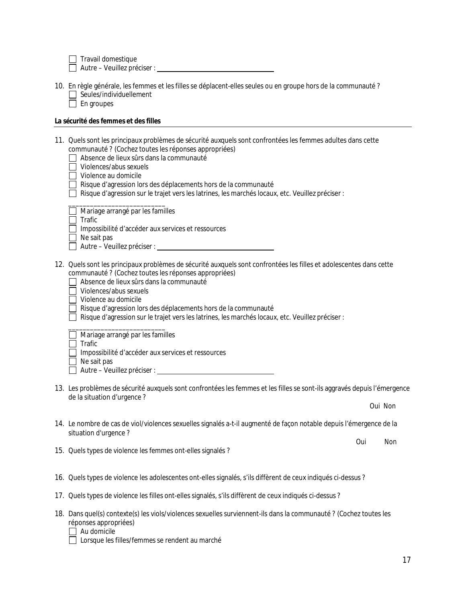$\Box$  Travail domestique

Autre – Veuillez préciser :

- 10. En règle générale, les femmes et les filles se déplacent-elles seules ou en groupe hors de la communauté ?  $\Box$  Seules/individuellement
	- $\Box$  En groupes

#### **La sécurité des femmes et des filles**

- 11. Quels sont les principaux problèmes de sécurité auxquels sont confrontées les femmes adultes dans cette communauté ? (Cochez toutes les réponses appropriées)
	- Absence de lieux sûrs dans la communauté
	- $\Box$  Violences/abus sexuels
	- $\Box$  Violence au domicile
	- Risque d'agression lors des déplacements hors de la communauté
	- $\Box$  Risque d'agression sur le trajet vers les latrines, les marchés locaux, etc. Veuillez préciser :

|  |  |  | Mariage arrangé par les familles |  |
|--|--|--|----------------------------------|--|
|--|--|--|----------------------------------|--|

\_\_\_\_\_\_\_\_\_\_\_\_\_\_\_\_\_\_\_\_\_\_\_\_\_\_\_

- $\Box$  Trafic
- Impossibilité d'accéder aux services et ressources

 $\Box$  Ne sait pas

- Autre Veuillez préciser :
- 12. Quels sont les principaux problèmes de sécurité auxquels sont confrontées les filles et adolescentes dans cette communauté ? (Cochez toutes les réponses appropriées)
	- Absence de lieux sûrs dans la communauté
	- $\Box$  Violences/abus sexuels
	- $\Box$  Violence au domicile

Risque d'agression lors des déplacements hors de la communauté

 $\Box$  Risque d'agression sur le trajet vers les latrines, les marchés locaux, etc. Veuillez préciser :

\_\_\_\_\_\_\_\_\_\_\_\_\_\_\_\_\_\_\_\_\_\_\_\_\_\_\_ Mariage arrangé par les familles

- $\Box$  Trafic
- Impossibilité d'accéder aux services et ressources
- $\Box$  Ne sait pas

Autre – Veuillez préciser :

- 13. Les problèmes de sécurité auxquels sont confrontées les femmes et les filles se sont-ils aggravés depuis l'émergence de la situation d'urgence ?
- 14. Le nombre de cas de viol/violences sexuelles signalés a-t-il augmenté de façon notable depuis l'émergence de la situation d'urgence ?
- 15. Quels types de violence les femmes ont-elles signalés ?
- 16. Quels types de violence les adolescentes ont-elles signalés, s'ils diffèrent de ceux indiqués ci-dessus ?
- 17. Quels types de violence les filles ont-elles signalés, s'ils diffèrent de ceux indiqués ci-dessus ?
- 18. Dans quel(s) contexte(s) les viols/violences sexuelles surviennent-ils dans la communauté ? (Cochez toutes les réponses appropriées)

 $\Box$  Au domicile

Oui Non

Oui Non

Lorsque les filles/femmes se rendent au marché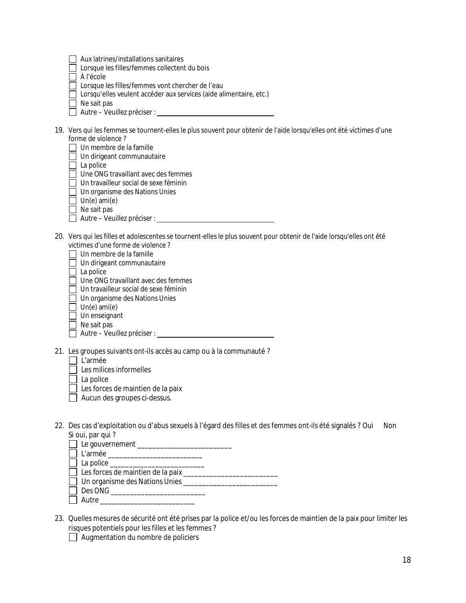| Aux latrines/installations sanitaires |  |
|---------------------------------------|--|
|                                       |  |

Lorsque les filles/femmes collectent du bois

À l'école

- Lorsque les filles/femmes vont chercher de l'eau
- □ Lorsqu'elles veulent accéder aux services (aide alimentaire, etc.)
- $\Box$  Ne sait pas
- Autre Veuillez préciser :
- 19. Vers qui les femmes se tournent-elles le plus souvent pour obtenir de l'aide lorsqu'elles ont été victimes d'une forme de violence ?
	- $\Box$  Un membre de la famille
	- $\Box$  Un dirigeant communautaire
	- $\Box$  La police
	- □ Une ONG travaillant avec des femmes
	- $\Box$  Un travailleur social de sexe féminin
	- □ Un organisme des Nations Unies
	- $\Box$  Un(e) ami(e)
	- $\Box$  Ne sait pas
	- Autre Veuillez préciser :
- 20. Vers qui les filles et adolescentes se tournent-elles le plus souvent pour obtenir de l'aide lorsqu'elles ont été victimes d'une forme de violence ?
	- $\Box$  Un membre de la famille
	- □ Un dirigeant communautaire
	- $\Box$  La police
	- $\Box$  Une ONG travaillant avec des femmes
	- Un travailleur social de sexe féminin
	- □ Un organisme des Nations Unies
	- $\Box$  Un(e) ami(e)
	- Un enseignant
	- $\Box$  Ne sait pas
	- Autre Veuillez préciser :
- 21. Les groupes suivants ont-ils accès au camp ou à la communauté ?
	- $\Box$  L'armée
	- $\overline{\Box}$  Les milices informelles
	- $\Box$  La police
	- $\Box$  Les forces de maintien de la paix
	- $\Box$  Aucun des groupes ci-dessus.
- 22. Des cas d'exploitation ou d'abus sexuels à l'égard des filles et des femmes ont-ils été signalés ? Oui Non Si oui, par qui ?
	- Le gouvernement \_\_\_\_\_\_\_\_\_\_\_\_\_\_\_\_\_\_\_\_\_\_\_\_\_
	- L'armée \_\_\_\_\_\_\_\_\_\_\_\_\_\_\_\_\_\_\_\_\_\_\_\_\_
	- $\Box$  La police  $\Box$
	- Les forces de maintien de la paix \_\_\_\_\_\_\_\_\_\_\_\_\_\_\_\_\_\_\_\_\_\_\_\_\_
	- Un organisme des Nations Unies \_\_\_\_\_\_\_\_\_\_\_\_\_\_\_\_\_\_\_\_\_\_\_\_\_
	- Des ONG \_\_\_\_\_\_\_\_\_\_\_\_\_\_\_\_\_\_\_\_\_\_\_\_\_\_\_\_
	- $\Box$  Autre
- 23. Quelles mesures de sécurité ont été prises par la police et/ou les forces de maintien de la paix pour limiter les risques potentiels pour les filles et les femmes ?
	- $\Box$  Augmentation du nombre de policiers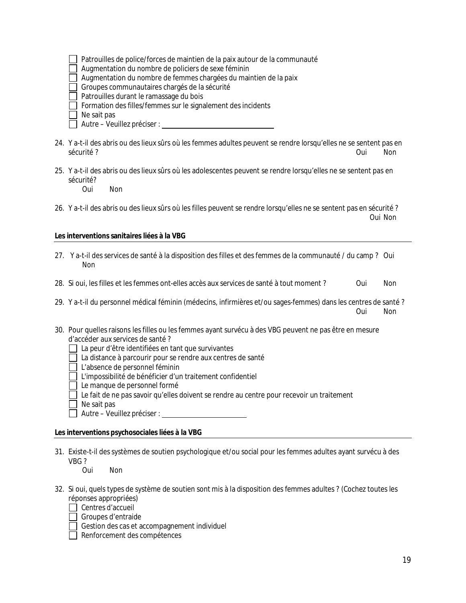| $\Box$ Patrouilles de police/forces de maintien de la paix autour de la communauté |  |  |  |
|------------------------------------------------------------------------------------|--|--|--|
|                                                                                    |  |  |  |

Augmentation du nombre de policiers de sexe féminin

 $\Box$  Augmentation du nombre de femmes chargées du maintien de la paix

 $\Box$  Groupes communautaires chargés de la sécurité

 $\Box$  Patrouilles durant le ramassage du bois

- $\Box$  Formation des filles/femmes sur le signalement des incidents
- $\Box$  Ne sait pas
- Autre Veuillez préciser :
- 24. Y a-t-il des abris ou des lieux sûrs où les femmes adultes peuvent se rendre lorsqu'elles ne se sentent pas en sécurité ? Oui Non
- 25. Y a-t-il des abris ou des lieux sûrs où les adolescentes peuvent se rendre lorsqu'elles ne se sentent pas en sécurité?

Oui Non

26. Y a-t-il des abris ou des lieux sûrs où les filles peuvent se rendre lorsqu'elles ne se sentent pas en sécurité ? Oui Non

#### **Les interventions sanitaires liées à la VBG**

- 27. Y a-t-il des services de santé à la disposition des filles et des femmes de la communauté / du camp ? Oui Non
- 28. Si oui, les filles et les femmes ont-elles accès aux services de santé à tout moment ? Oui Non
- 29. Y a-t-il du personnel médical féminin (médecins, infirmières et/ou sages-femmes) dans les centres de santé ? Oui Non
- 30. Pour quelles raisons les filles ou les femmes ayant survécu à des VBG peuvent ne pas être en mesure d'accéder aux services de santé ?
	- La peur d'être identifiées en tant que survivantes
	- La distance à parcourir pour se rendre aux centres de santé
	- $\Box$  L'absence de personnel féminin
	- $\Box$  L'impossibilité de bénéficier d'un traitement confidentiel
	- $\Box$  Le manque de personnel formé
	- $\Box$  Le fait de ne pas savoir qu'elles doivent se rendre au centre pour recevoir un traitement
	- Ne sait pas
	- Autre Veuillez préciser :

#### **Les interventions psychosociales liées à la VBG**

31. Existe-t-il des systèmes de soutien psychologique et/ou social pour les femmes adultes ayant survécu à des VBG ?

**Non** 

- 32. Si oui, quels types de système de soutien sont mis à la disposition des femmes adultes ? (Cochez toutes les réponses appropriées)
	- $\Box$  Centres d'accueil
	- Groupes d'entraide
	- $\Box$  Gestion des cas et accompagnement individuel
	- Renforcement des compétences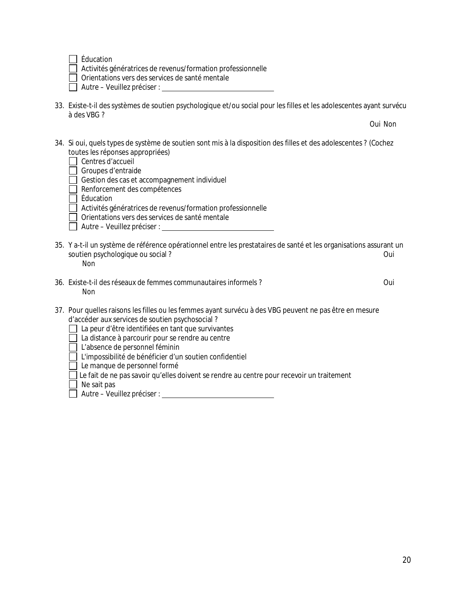$\Box$  Éducation

Activités génératrices de revenus/formation professionnelle

 $\Box$  Orientations vers des services de santé mentale

| $\Box$ Autre – Veuillez préciser : |  |
|------------------------------------|--|
|------------------------------------|--|

33. Existe-t-il des systèmes de soutien psychologique et/ou social pour les filles et les adolescentes ayant survécu à des VBG ?

Oui Non

34. Si oui, quels types de système de soutien sont mis à la disposition des filles et des adolescentes ? (Cochez toutes les réponses appropriées)

| Centres d'accueil                                   |
|-----------------------------------------------------|
| Groupes d'entraide                                  |
| $\Box$ Gestion des cas et accompagnement individuel |
| Renforcement des compétences                        |

Éducation

- Activités génératrices de revenus/formation professionnelle
- Orientations vers des services de santé mentale
- Autre Veuillez préciser :
- 35. Y a-t-il un système de référence opérationnel entre les prestataires de santé et les organisations assurant un soutien psychologique ou social ? Oui Non
- 36. Existe-t-il des réseaux de femmes communautaires informels ? Oui Non

- 37. Pour quelles raisons les filles ou les femmes ayant survécu à des VBG peuvent ne pas être en mesure d'accéder aux services de soutien psychosocial ?
	- La peur d'être identifiées en tant que survivantes
	- □ La distance à parcourir pour se rendre au centre

L'absence de personnel féminin

L'impossibilité de bénéficier d'un soutien confidentiel

 $\Box$  Le manque de personnel formé

 $\Box$  Le fait de ne pas savoir qu'elles doivent se rendre au centre pour recevoir un traitement

 $\Box$  Ne sait pas

Autre – Veuillez préciser :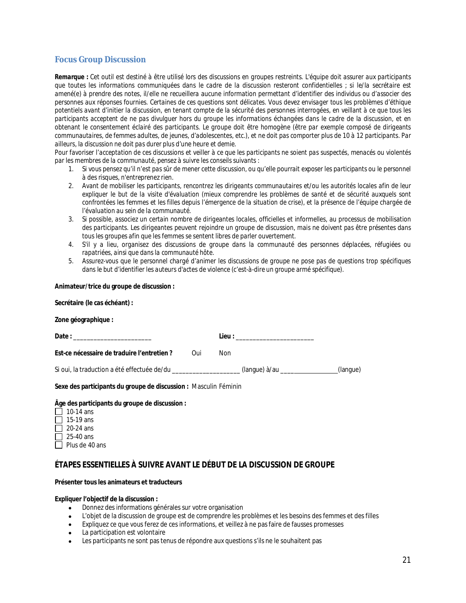### **Focus Group Discussion**

*Remarque : Cet outil est destiné à être utilisé lors des discussions en groupes restreints. L'équipe doit assurer aux participants que toutes les informations communiquées dans le cadre de la discussion resteront confidentielles ; si le/la secrétaire est amené(e) à prendre des notes, il/elle ne recueillera aucune information permettant d'identifier des individus ou d'associer des personnes aux réponses fournies. Certaines de ces questions sont délicates. Vous devez envisager tous les problèmes d'éthique potentiels avant d'initier la discussion, en tenant compte de la sécurité des personnes interrogées, en veillant à ce que tous les*  participants acceptent de ne pas divulguer hors du groupe les informations échangées dans le cadre de la discussion, et en *obtenant le consentement éclairé des participants. Le groupe doit être homogène (être par exemple composé de dirigeants communautaires, de femmes adultes, de jeunes, d'adolescentes, etc.), et ne doit pas comporter plus de 10 à 12 participants. Par ailleurs, la discussion ne doit pas durer plus d'une heure et demie.*

*Pour favoriser l'acceptation de ces discussions et veiller à ce que les participants ne soient pas suspectés, menacés ou violentés par les membres de la communauté, pensez à suivre les conseils suivants :*

- 1. *Si vous pensez qu'il n'est pas sûr de mener cette discussion, ou qu'elle pourrait exposer les participants ou le personnel à des risques, n'entreprenez rien.*
- 2. *Avant de mobiliser les participants, rencontrez les dirigeants communautaires et/ou les autorités locales afin de leur*  expliquer le but de la visite d'évaluation (mieux comprendre les problèmes de santé et de sécurité auxquels sont *confrontées les femmes et les filles depuis l'émergence de la situation de crise), et la présence de l'équipe chargée de l'évaluation au sein de la communauté.*
- 3. *Si possible, associez un certain nombre de dirigeantes locales, officielles et informelles, au processus de mobilisation des participants. Les dirigeantes peuvent rejoindre un groupe de discussion, mais ne doivent pas être présentes dans tous les groupes afin que les femmes se sentent libres de parler ouvertement.*
- *4. S'il y a lieu, organisez des discussions de groupe dans la communauté des personnes déplacées, réfugiées ou rapatriées, ainsi que dans la communauté hôte.*
- *5. Assurez-vous que le personnel chargé d'animer les discussions de groupe ne pose pas de questions trop spécifiques dans le but d'identifier les auteurs d'actes de violence (c'est-à-dire un groupe armé spécifique).*

#### **Animateur/trice du groupe de discussion :**

| Secrétaire (le cas échéant) : |                                     |                                                                                                                                                        |
|-------------------------------|-------------------------------------|--------------------------------------------------------------------------------------------------------------------------------------------------------|
|                               |                                     |                                                                                                                                                        |
|                               | Lieu : ____________________________ |                                                                                                                                                        |
| Oui                           | Non                                 |                                                                                                                                                        |
|                               |                                     | (langue)                                                                                                                                               |
|                               |                                     |                                                                                                                                                        |
|                               |                                     | Si oui, la traduction a été effectuée de/du ____________________(langue) à/au ____<br>Sexe des participants du groupe de discussion : Masculin Féminin |

#### **Âge des participants du groupe de discussion :**

| 10-14 ans      |
|----------------|
| 15-19 ans      |
| 20-24 ans      |
| 25-40 ans      |
| Plus de 40 ans |

## **ÉTAPES ESSENTIELLES À SUIVRE AVANT LE DÉBUT DE LA DISCUSSION DE GROUPE**

#### **Présenter tous les animateurs et traducteurs**

#### **Expliquer l'objectif de la discussion :**

- Donnez des informations générales sur votre organisation
- L'objet de la discussion de groupe est de comprendre les problèmes et les besoins des femmes et des filles
- Expliquez ce que vous ferez de ces informations, et veillez à ne pas faire de fausses promesses
- La participation est volontaire
- Les participants ne sont pas tenus de répondre aux questions s'ils ne le souhaitent pas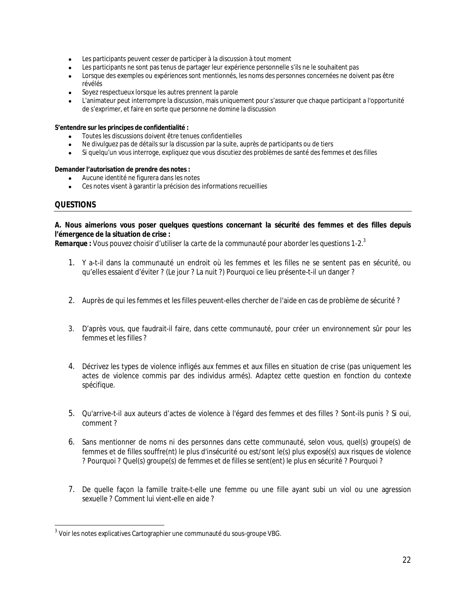- Les participants peuvent cesser de participer à la discussion à tout moment
- Les participants ne sont pas tenus de partager leur expérience personnelle s'ils ne le souhaitent pas
- Lorsque des exemples ou expériences sont mentionnés, les noms des personnes concernées ne doivent pas être révélés
- Soyez respectueux lorsque les autres prennent la parole
- L'animateur peut interrompre la discussion, mais uniquement pour s'assurer que chaque participant a l'opportunité de s'exprimer, et faire en sorte que personne ne domine la discussion

#### **S'entendre sur les principes de confidentialité :**

- Toutes les discussions doivent être tenues confidentielles
- Ne divulguez pas de détails sur la discussion par la suite, auprès de participants ou de tiers
- Si quelqu'un vous interroge, expliquez que vous discutiez des problèmes de santé des femmes et des filles

#### **Demander l'autorisation de prendre des notes :**

- Aucune identité ne figurera dans les notes
- Ces notes visent à garantir la précision des informations recueillies

#### **QUESTIONS**

#### **A. Nous aimerions vous poser quelques questions concernant la sécurité des femmes et des filles depuis l'émergence de la situation de crise :**

*Remarque : Vous pouvez choisir d'utiliser la carte de la communauté pour aborder les questions 1-2.<sup>3</sup>*

- 1. Y a-t-il dans la communauté un endroit où les femmes et les filles ne se sentent pas en sécurité, ou qu'elles essaient d'éviter ? (Le jour ? La nuit ?) Pourquoi ce lieu présente-t-il un danger ?
- 2. Auprès de qui les femmes et les filles peuvent-elles chercher de l'aide en cas de problème de sécurité ?
- 3. D'après vous, que faudrait-il faire, dans cette communauté, pour créer un environnement sûr pour les femmes et les filles ?
- 4. Décrivez les types de violence infligés aux femmes et aux filles en situation de crise (pas uniquement les actes de violence commis par des individus armés). *Adaptez cette question en fonction du contexte spécifique.*
- 5. Qu'arrive-t-il aux auteurs d'actes de violence à l'égard des femmes et des filles ? Sont-ils punis ? Si oui, comment ?
- 6. Sans mentionner de noms ni des personnes dans cette communauté, selon vous, quel(s) groupe(s) de femmes et de filles souffre(nt) le plus d'insécurité ou est/sont le(s) plus exposé(s) aux risques de violence ? Pourquoi ? Quel(s) groupe(s) de femmes et de filles se sent(ent) le plus en sécurité ? Pourquoi ?
- 7. De quelle façon la famille traite-t-elle une femme ou une fille ayant subi un viol ou une agression sexuelle ? Comment lui vient-elle en aide ?

 3 Voir les notes explicatives Cartographier une communauté du sous-groupe VBG.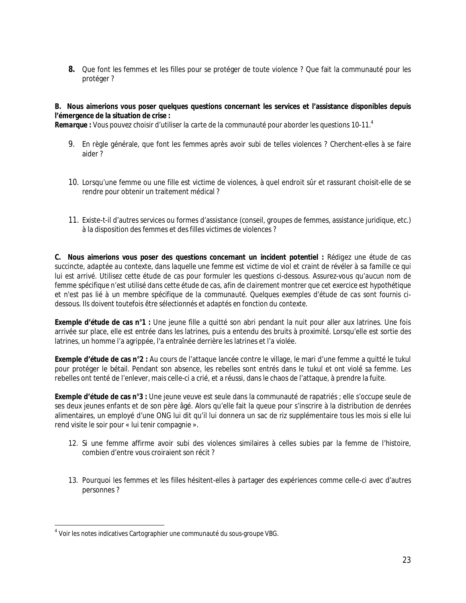**8.** Que font les femmes et les filles pour se protéger de toute violence ? Que fait la communauté pour les protéger ?

## **B. Nous aimerions vous poser quelques questions concernant les services et l'assistance disponibles depuis l'émergence de la situation de crise :**

*Remarque : Vous pouvez choisir d'utiliser la carte de la communauté pour aborder les questions 10-11.<sup>4</sup>*

- 9. En règle générale, que font les femmes après avoir subi de telles violences ? Cherchent-elles à se faire aider ?
- 10. Lorsqu'une femme ou une fille est victime de violences, à quel endroit sûr et rassurant choisit-elle de se rendre pour obtenir un traitement médical ?
- 11. Existe-t-il d'autres services ou formes d'assistance (conseil, groupes de femmes, assistance juridique, etc.) à la disposition des femmes et des filles victimes de violences ?

**C. Nous aimerions vous poser des questions concernant un incident potentiel :** *Rédigez une étude de cas succincte, adaptée au contexte, dans laquelle une femme est victime de viol et craint de révéler à sa famille ce qui lui est arrivé. Utilisez cette étude de cas pour formuler les questions ci-dessous. Assurez-vous qu'aucun nom de femme spécifique n'est utilisé dans cette étude de cas, afin de clairement montrer que cet exercice est hypothétique et n'est pas lié à un membre spécifique de la communauté. Quelques exemples d'étude de cas sont fournis cidessous. Ils doivent toutefois être sélectionnés et adaptés en fonction du contexte.*

**Exemple d'étude de cas n°1 :** Une jeune fille a quitté son abri pendant la nuit pour aller aux latrines. Une fois arrivée sur place, elle est entrée dans les latrines, puis a entendu des bruits à proximité. Lorsqu'elle est sortie des latrines, un homme l'a agrippée, l'a entraînée derrière les latrines et l'a violée.

**Exemple d'étude de cas n°2 :** Au cours de l'attaque lancée contre le village, le mari d'une femme a quitté le *tukul* pour protéger le bétail. Pendant son absence, les rebelles sont entrés dans le *tukul* et ont violé sa femme. Les rebelles ont tenté de l'enlever, mais celle-ci a crié, et a réussi, dans le chaos de l'attaque, à prendre la fuite.

**Exemple d'étude de cas n°3 :** Une jeune veuve est seule dans la communauté de rapatriés ; elle s'occupe seule de ses deux jeunes enfants et de son père âgé. Alors qu'elle fait la queue pour s'inscrire à la distribution de denrées alimentaires, un employé d'une ONG lui dit qu'il lui donnera un sac de riz supplémentaire tous les mois si elle lui rend visite le soir pour « lui tenir compagnie ».

- 12. Si une femme affirme avoir subi des violences similaires à celles subies par la femme de l'histoire, combien d'entre vous croiraient son récit ?
- 13. Pourquoi les femmes et les filles hésitent-elles à partager des expériences comme celle-ci avec d'autres personnes ?

 4 Voir les notes indicatives Cartographier une communauté du sous-groupe VBG.